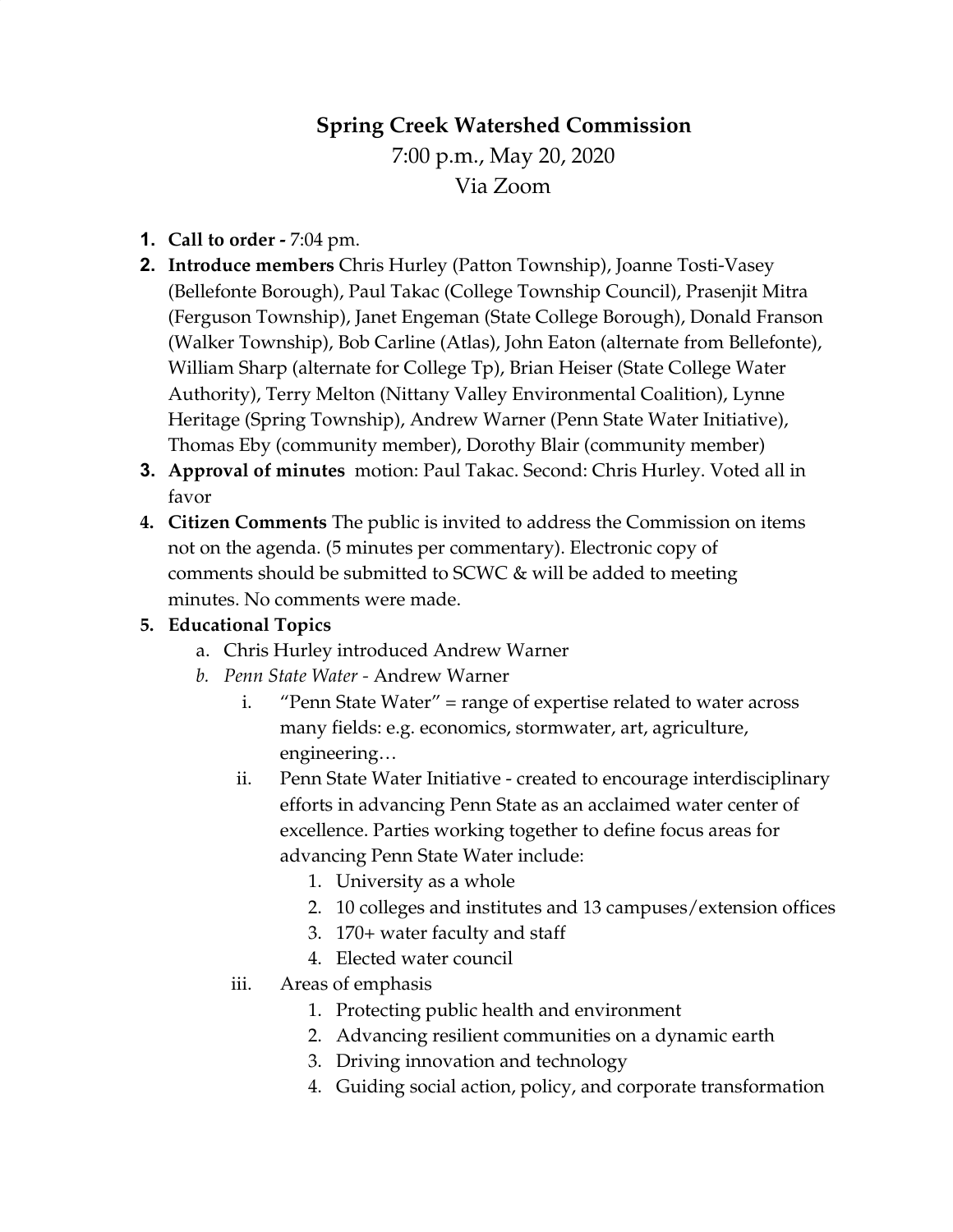# **Spring Creek Watershed Commission**

7:00 p.m., May 20, 2020 Via Zoom

- **1. Call to order -** 7:04 pm.
- **2. Introduce members** Chris Hurley (Patton Township), Joanne Tosti-Vasey (Bellefonte Borough), Paul Takac (College Township Council), Prasenjit Mitra (Ferguson Township), Janet Engeman (State College Borough), Donald Franson (Walker Township), Bob Carline (Atlas), John Eaton (alternate from Bellefonte), William Sharp (alternate for College Tp), Brian Heiser (State College Water Authority), Terry Melton (Nittany Valley Environmental Coalition), Lynne Heritage (Spring Township), Andrew Warner (Penn State Water Initiative), Thomas Eby (community member), Dorothy Blair (community member)
- **3. Approval of minutes** motion: Paul Takac. Second: Chris Hurley. Voted all in favor
- **4. Citizen Comments** The public is invited to address the Commission on items not on the agenda. (5 minutes per commentary). Electronic copy of comments should be submitted to SCWC & will be added to meeting minutes. No comments were made.

## **5. Educational Topics**

- a. Chris Hurley introduced Andrew Warner
- *b. Penn State Water -* Andrew Warner
	- i. "Penn State Water" = range of expertise related to water across many fields: e.g. economics, stormwater, art, agriculture, engineering…
	- ii. Penn State Water Initiative created to encourage interdisciplinary efforts in advancing Penn State as an acclaimed water center of excellence. Parties working together to define focus areas for advancing Penn State Water include:
		- 1. University as a whole
		- 2. 10 colleges and institutes and 13 campuses/extension offices
		- 3. 170+ water faculty and staff
		- 4. Elected water council
	- iii. Areas of emphasis
		- 1. Protecting public health and environment
		- 2. Advancing resilient communities on a dynamic earth
		- 3. Driving innovation and technology
		- 4. Guiding social action, policy, and corporate transformation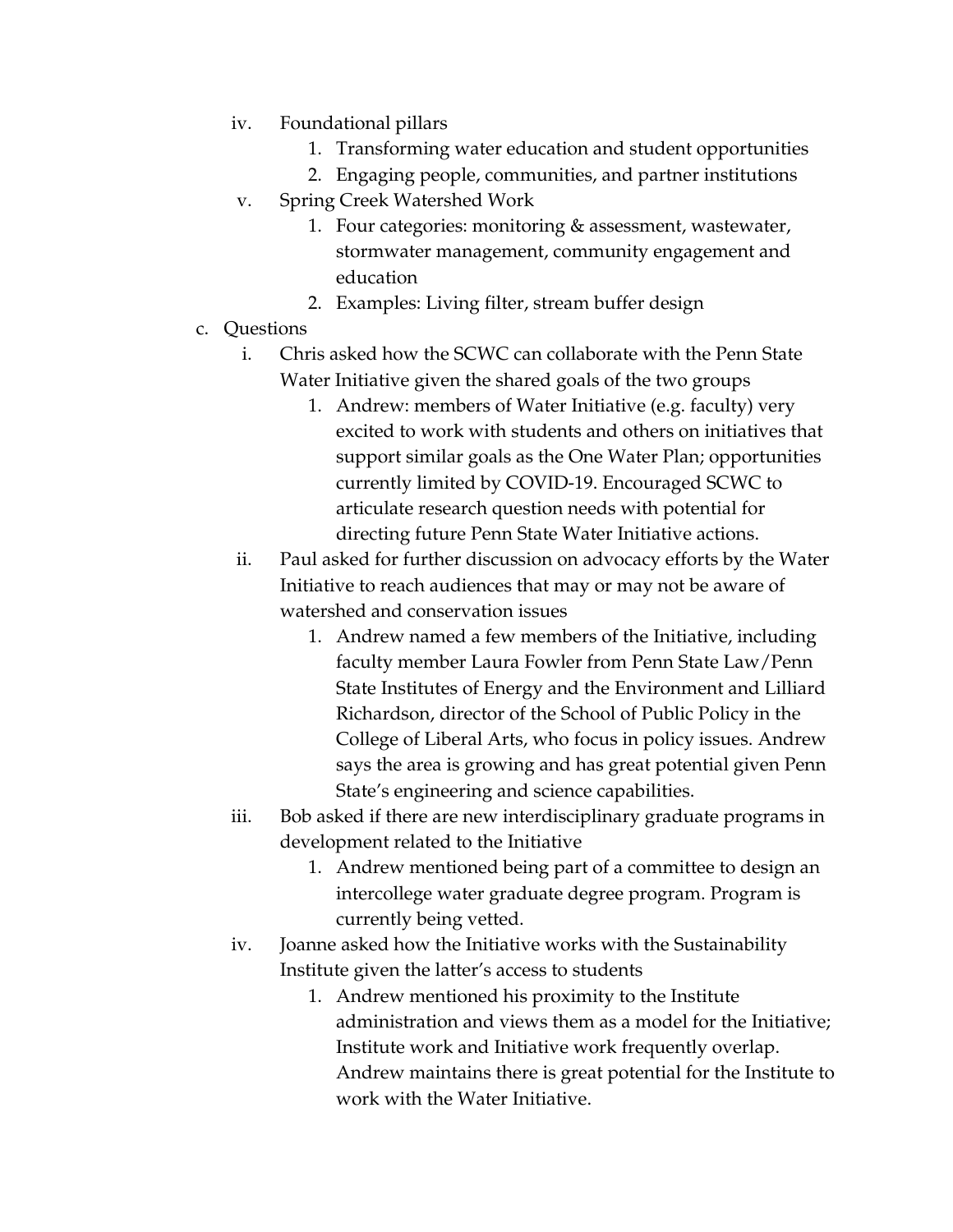- iv. Foundational pillars
	- 1. Transforming water education and student opportunities
	- 2. Engaging people, communities, and partner institutions
- v. Spring Creek Watershed Work
	- 1. Four categories: monitoring & assessment, wastewater, stormwater management, community engagement and education
	- 2. Examples: Living filter, stream buffer design
- c. Questions
	- i. Chris asked how the SCWC can collaborate with the Penn State Water Initiative given the shared goals of the two groups
		- 1. Andrew: members of Water Initiative (e.g. faculty) very excited to work with students and others on initiatives that support similar goals as the One Water Plan; opportunities currently limited by COVID-19. Encouraged SCWC to articulate research question needs with potential for directing future Penn State Water Initiative actions.
	- ii. Paul asked for further discussion on advocacy efforts by the Water Initiative to reach audiences that may or may not be aware of watershed and conservation issues
		- 1. Andrew named a few members of the Initiative, including faculty member Laura Fowler from Penn State Law/Penn State Institutes of Energy and the Environment and Lilliard Richardson, director of the School of Public Policy in the College of Liberal Arts, who focus in policy issues. Andrew says the area is growing and has great potential given Penn State's engineering and science capabilities.
	- iii. Bob asked if there are new interdisciplinary graduate programs in development related to the Initiative
		- 1. Andrew mentioned being part of a committee to design an intercollege water graduate degree program. Program is currently being vetted.
	- iv. Joanne asked how the Initiative works with the Sustainability Institute given the latter's access to students
		- 1. Andrew mentioned his proximity to the Institute administration and views them as a model for the Initiative; Institute work and Initiative work frequently overlap. Andrew maintains there is great potential for the Institute to work with the Water Initiative.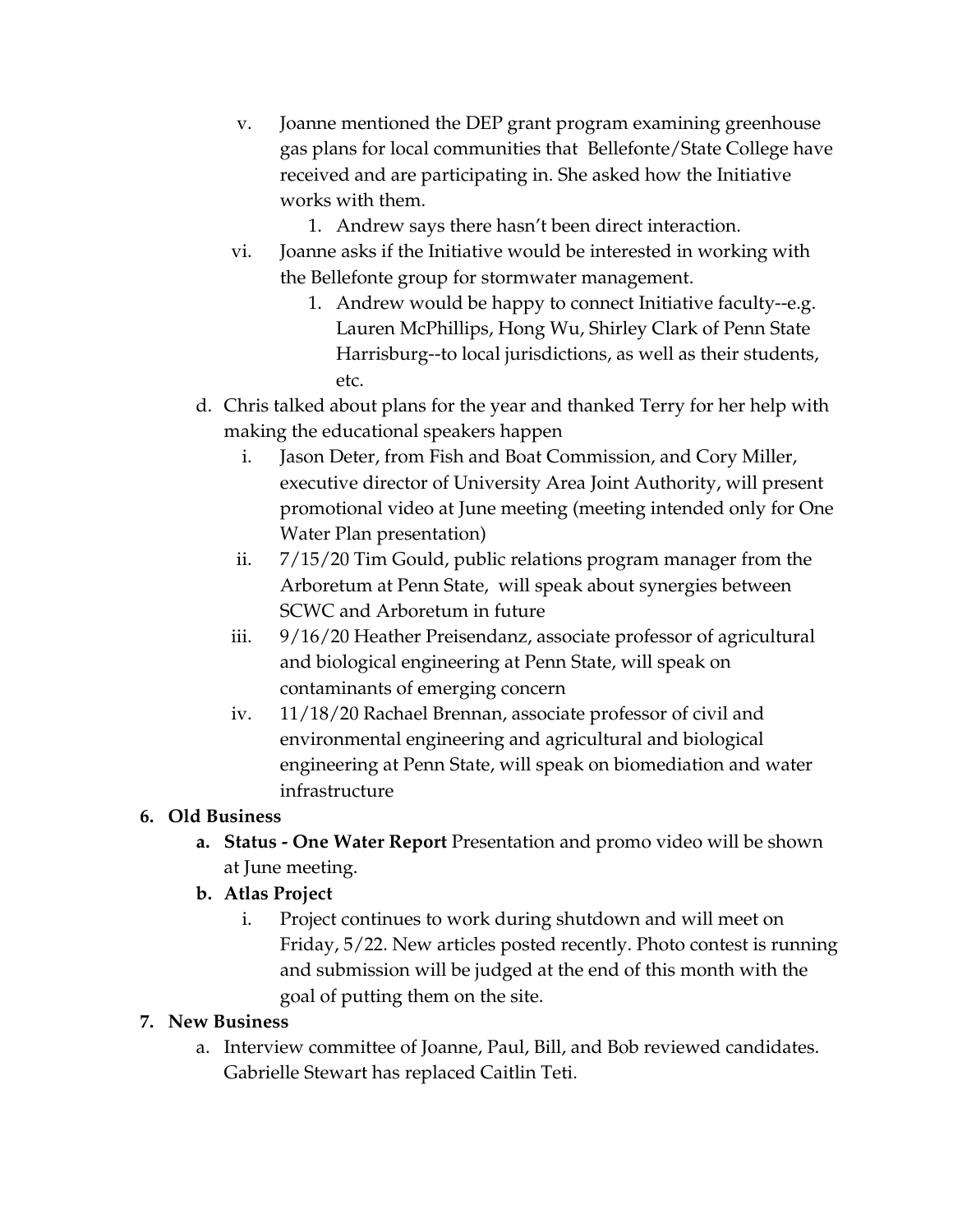- v. Joanne mentioned the DEP grant program examining greenhouse gas plans for local communities that Bellefonte/State College have received and are participating in. She asked how the Initiative works with them.
	- 1. Andrew says there hasn't been direct interaction.
- vi. Joanne asks if the Initiative would be interested in working with the Bellefonte group for stormwater management.
	- 1. Andrew would be happy to connect Initiative faculty--e.g. Lauren McPhillips, Hong Wu, Shirley Clark of Penn State Harrisburg--to local jurisdictions, as well as their students, etc.
- d. Chris talked about plans for the year and thanked Terry for her help with making the educational speakers happen
	- i. Jason Deter, from Fish and Boat Commission, and Cory Miller, executive director of University Area Joint Authority, will present promotional video at June meeting (meeting intended only for One Water Plan presentation)
	- ii. 7/15/20 Tim Gould, public relations program manager from the Arboretum at Penn State, will speak about synergies between SCWC and Arboretum in future
	- iii. 9/16/20 Heather Preisendanz, associate professor of agricultural and biological engineering at Penn State, will speak on contaminants of emerging concern
	- iv. 11/18/20 Rachael Brennan, associate professor of civil and environmental engineering and agricultural and biological engineering at Penn State, will speak on biomediation and water infrastructure

## **6. Old Business**

- **a. Status - One Water Report** Presentation and promo video will be shown at June meeting.
- **b. Atlas Project**
	- i. Project continues to work during shutdown and will meet on Friday, 5/22. New articles posted recently. Photo contest is running and submission will be judged at the end of this month with the goal of putting them on the site.

## **7. New Business**

a. Interview committee of Joanne, Paul, Bill, and Bob reviewed candidates. Gabrielle Stewart has replaced Caitlin Teti.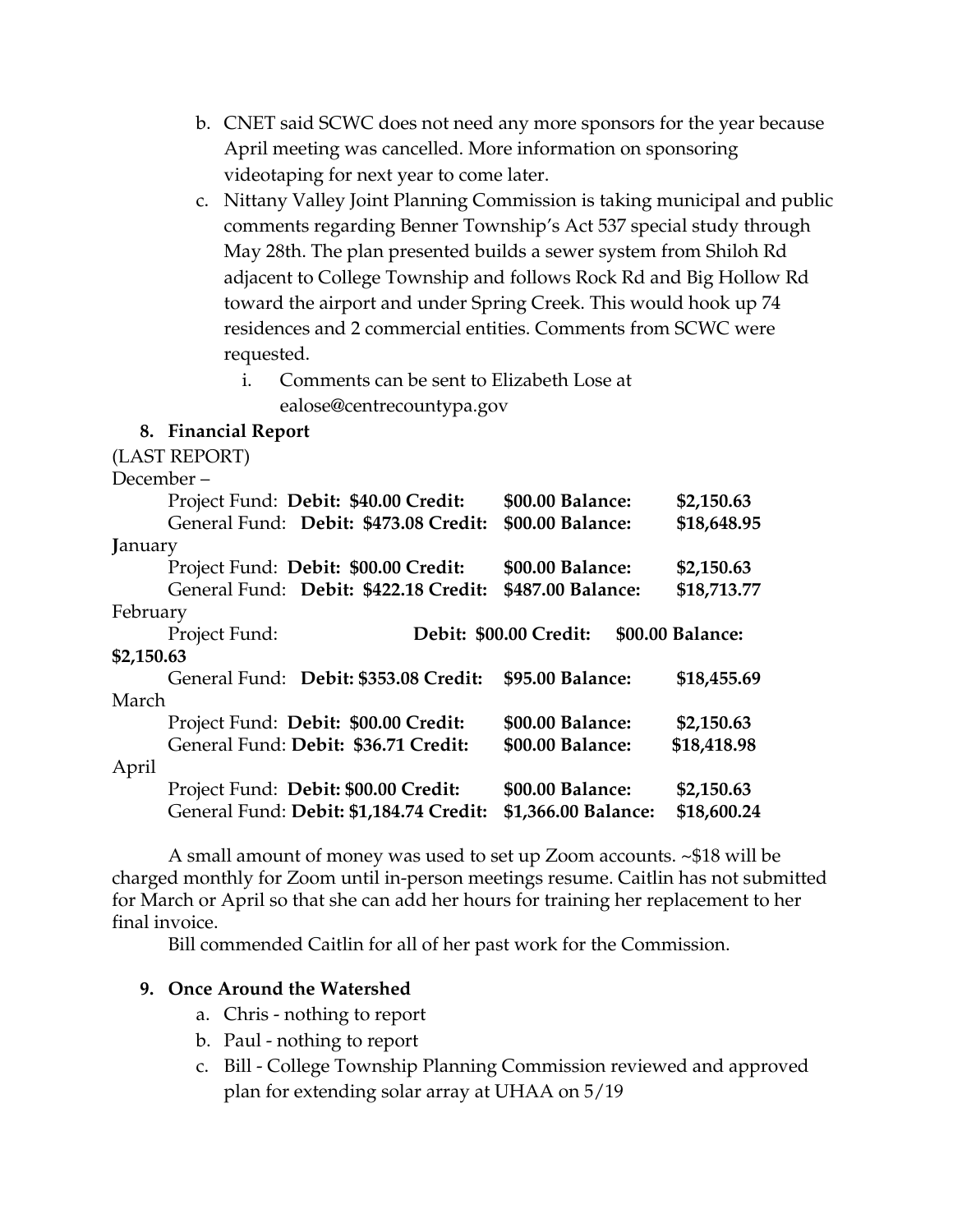- b. CNET said SCWC does not need any more sponsors for the year because April meeting was cancelled. More information on sponsoring videotaping for next year to come later.
- c. Nittany Valley Joint Planning Commission is taking municipal and public comments regarding Benner Township's Act 537 special study through May 28th. The plan presented builds a sewer system from Shiloh Rd adjacent to College Township and follows Rock Rd and Big Hollow Rd toward the airport and under Spring Creek. This would hook up 74 residences and 2 commercial entities. Comments from SCWC were requested.

i. Comments can be sent to Elizabeth Lose at

ealose@centrecountypa.gov

#### **8. Financial Report**

(LAST REPORT) December – Project Fund: **Debit: \$40.00 Credit: \$00.00 Balance: \$2,150.63** General Fund: **Debit: \$473.08 Credit: \$00.00 Balance: \$18,648.95 J**anuary Project Fund: **Debit: \$00.00 Credit: \$00.00 Balance: \$2,150.63** General Fund: **Debit: \$422.18 Credit: \$487.00 Balance: \$18,713.77** February Project Fund: **Debit: \$00.00 Credit: \$00.00 Balance: \$2,150.63** General Fund: **Debit: \$353.08 Credit: \$95.00 Balance: \$18,455.69** March Project Fund: **Debit: \$00.00 Credit: \$00.00 Balance: \$2,150.63** General Fund: **Debit: \$36.71 Credit: \$00.00 Balance: \$18,418.98** April Project Fund: **Debit: \$00.00 Credit: \$00.00 Balance: \$2,150.63** General Fund: **Debit: \$1,184.74 Credit: \$1,366.00 Balance: \$18,600.24**

A small amount of money was used to set up Zoom accounts. ~\$18 will be charged monthly for Zoom until in-person meetings resume. Caitlin has not submitted for March or April so that she can add her hours for training her replacement to her final invoice.

Bill commended Caitlin for all of her past work for the Commission.

#### **9. Once Around the Watershed**

- a. Chris nothing to report
- b. Paul nothing to report
- c. Bill College Township Planning Commission reviewed and approved plan for extending solar array at UHAA on 5/19